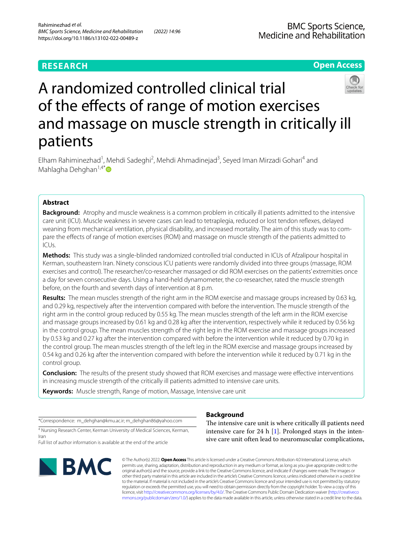# **RESEARCH**

# **Open Access**



# A randomized controlled clinical trial of the efects of range of motion exercises and massage on muscle strength in critically ill patients

Elham Rahiminezhad<sup>1</sup>, Mehdi Sadeghi<sup>2</sup>, Mehdi Ahmadinejad<sup>3</sup>, Seyed Iman Mirzadi Gohari<sup>4</sup> and Mahlagha Dehghan<sup>1,4\*</sup> $\bullet$ 

# **Abstract**

**Background:** Atrophy and muscle weakness is a common problem in critically ill patients admitted to the intensive care unit (ICU). Muscle weakness in severe cases can lead to tetraplegia, reduced or lost tendon refexes, delayed weaning from mechanical ventilation, physical disability, and increased mortality. The aim of this study was to compare the efects of range of motion exercises (ROM) and massage on muscle strength of the patients admitted to ICUs.

**Methods:** This study was a single-blinded randomized controlled trial conducted in ICUs of Afzalipour hospital in Kerman, southeastern Iran. Ninety conscious ICU patients were randomly divided into three groups (massage, ROM exercises and control). The researcher/co-researcher massaged or did ROM exercises on the patients' extremities once a day for seven consecutive days. Using a hand-held dynamometer, the co-researcher, rated the muscle strength before, on the fourth and seventh days of intervention at 8 p.m.

**Results:** The mean muscles strength of the right arm in the ROM exercise and massage groups increased by 0.63 kg, and 0.29 kg, respectively after the intervention compared with before the intervention. The muscle strength of the right arm in the control group reduced by 0.55 kg. The mean muscles strength of the left arm in the ROM exercise and massage groups increased by 0.61 kg and 0.28 kg after the intervention, respectively while it reduced by 0.56 kg in the control group. The mean muscles strength of the right leg in the ROM exercise and massage groups increased by 0.53 kg and 0.27 kg after the intervention compared with before the intervention while it reduced by 0.70 kg in the control group. The mean muscles strength of the left leg in the ROM exercise and massage groups increased by 0.54 kg and 0.26 kg after the intervention compared with before the intervention while it reduced by 0.71 kg in the control group.

**Conclusion:** The results of the present study showed that ROM exercises and massage were efective interventions in increasing muscle strength of the critically ill patients admitted to intensive care units.

**Keywords:** Muscle strength, Range of motion, Massage, Intensive care unit

\*Correspondence: m\_dehghan@kmu.ac.ir; m\_dehghan86@yahoo.com

<sup>4</sup> Nursing Research Center, Kerman University of Medical Sciences, Kerman, Iran

Full list of author information is available at the end of the article



## **Background**

The intensive care unit is where critically ill patients need intensive care for 24 h [[1](#page-9-0)]. Prolonged stays in the intensive care unit often lead to neuromuscular complications,

© The Author(s) 2022. **Open Access** This article is licensed under a Creative Commons Attribution 4.0 International License, which permits use, sharing, adaptation, distribution and reproduction in any medium or format, as long as you give appropriate credit to the original author(s) and the source, provide a link to the Creative Commons licence, and indicate if changes were made. The images or other third party material in this article are included in the article's Creative Commons licence, unless indicated otherwise in a credit line to the material. If material is not included in the article's Creative Commons licence and your intended use is not permitted by statutory regulation or exceeds the permitted use, you will need to obtain permission directly from the copyright holder. To view a copy of this licence, visit [http://creativecommons.org/licenses/by/4.0/.](http://creativecommons.org/licenses/by/4.0/) The Creative Commons Public Domain Dedication waiver ([http://creativeco](http://creativecommons.org/publicdomain/zero/1.0/) [mmons.org/publicdomain/zero/1.0/](http://creativecommons.org/publicdomain/zero/1.0/)) applies to the data made available in this article, unless otherwise stated in a credit line to the data.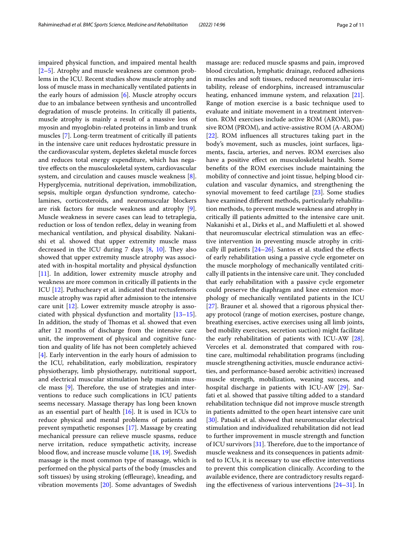impaired physical function, and impaired mental health [[2–](#page-9-1)[5\]](#page-9-2). Atrophy and muscle weakness are common problems in the ICU. Recent studies show muscle atrophy and loss of muscle mass in mechanically ventilated patients in the early hours of admission [\[6](#page-9-3)]. Muscle atrophy occurs due to an imbalance between synthesis and uncontrolled degradation of muscle proteins. In critically ill patients, muscle atrophy is mainly a result of a massive loss of myosin and myoglobin-related proteins in limb and trunk muscles [\[7](#page-9-4)]. Long-term treatment of critically ill patients in the intensive care unit reduces hydrostatic pressure in the cardiovascular system, depletes skeletal muscle forces and reduces total energy expenditure, which has negative efects on the musculoskeletal system, cardiovascular system, and circulation and causes muscle weakness [\[8](#page-9-5)]. Hyperglycemia, nutritional deprivation, immobilization, sepsis, multiple organ dysfunction syndrome, catecholamines, corticosteroids, and neuromuscular blockers are risk factors for muscle weakness and atrophy [\[9](#page-10-0)]. Muscle weakness in severe cases can lead to tetraplegia, reduction or loss of tendon reflex, delay in weaning from mechanical ventilation, and physical disability. Nakanishi et al. showed that upper extremity muscle mass decreased in the ICU during  $7$  days  $[8, 10]$  $[8, 10]$  $[8, 10]$ . They also showed that upper extremity muscle atrophy was associated with in-hospital mortality and physical dysfunction [[11\]](#page-10-2). In addition, lower extremity muscle atrophy and weakness are more common in critically ill patients in the ICU [\[12\]](#page-10-3). Puthucheary et al. indicated that rectusfemoris muscle atrophy was rapid after admission to the intensive care unit [[12\]](#page-10-3). Lower extremity muscle atrophy is associated with physical dysfunction and mortality  $[13-15]$  $[13-15]$  $[13-15]$ . In addition, the study of Thomas et al. showed that even after 12 months of discharge from the intensive care unit, the improvement of physical and cognitive function and quality of life has not been completely achieved [[4\]](#page-9-6). Early intervention in the early hours of admission to the ICU, rehabilitation, early mobilization, respiratory physiotherapy, limb physiotherapy, nutritional support, and electrical muscular stimulation help maintain muscle mass  $[9]$  $[9]$  $[9]$ . Therefore, the use of strategies and interventions to reduce such complications in ICU patients seems necessary. Massage therapy has long been known as an essential part of health [[16\]](#page-10-6). It is used in ICUs to reduce physical and mental problems of patients and prevent sympathetic responses [\[17](#page-10-7)]. Massage by creating mechanical pressure can relieve muscle spasms, reduce nerve irritation, reduce sympathetic activity, increase blood flow, and increase muscle volume  $[18, 19]$  $[18, 19]$  $[18, 19]$  $[18, 19]$ . Swedish massage is the most common type of massage, which is performed on the physical parts of the body (muscles and soft tissues) by using stroking (effleurage), kneading, and vibration movements [[20](#page-10-10)]. Some advantages of Swedish massage are: reduced muscle spasms and pain, improved blood circulation, lymphatic drainage, reduced adhesions in muscles and soft tissues, reduced neuromuscular irritability, release of endorphins, increased intramuscular heating, enhanced immune system, and relaxation [\[21](#page-10-11)]. Range of motion exercise is a basic technique used to evaluate and initiate movement in a treatment intervention. ROM exercises include active ROM (AROM), passive ROM (PROM), and active-assistive ROM (A-AROM) [[22\]](#page-10-12). ROM infuences all structures taking part in the body's movement, such as muscles, joint surfaces, ligaments, fascia, arteries, and nerves. ROM exercises also have a positive effect on musculoskeletal health. Some benefts of the ROM exercises include maintaining the mobility of connective and joint tissue, helping blood circulation and vascular dynamics, and strengthening the synovial movement to feed cartilage [\[23](#page-10-13)]. Some studies have examined diferent methods, particularly rehabilitation methods, to prevent muscle weakness and atrophy in critically ill patients admitted to the intensive care unit. Nakanishi et al., Dirks et al., and Maffiuletti et al. showed that neuromuscular electrical stimulation was an efective intervention in preventing muscle atrophy in critically ill patients  $[24–26]$  $[24–26]$  $[24–26]$  $[24–26]$ . Santos et al. studied the effects of early rehabilitation using a passive cycle ergometer on the muscle morphology of mechanically ventilated critically ill patients in the intensive care unit. They concluded that early rehabilitation with a passive cycle ergometer could preserve the diaphragm and knee extension morphology of mechanically ventilated patients in the ICU [[27\]](#page-10-16). Brauner et al. showed that a rigorous physical therapy protocol (range of motion exercises, posture change, breathing exercises, active exercises using all limb joints, bed mobility exercises, secretion suction) might facilitate the early rehabilitation of patients with ICU-AW [\[28](#page-10-17)]. Verceles et al. demonstrated that compared with routine care, multimodal rehabilitation programs (including muscle strengthening activities, muscle endurance activities, and performance-based aerobic activities) increased muscle strength, mobilization, weaning success, and hospital discharge in patients with ICU-AW [\[29](#page-10-18)]. Sarfati et al. showed that passive tilting added to a standard rehabilitation technique did not improve muscle strength in patients admitted to the open heart intensive care unit [[30\]](#page-10-19). Patsaki et al. showed that neuromuscular electrical stimulation and individualized rehabilitation did not lead to further improvement in muscle strength and function of ICU survivors  $[31]$  $[31]$ . Therefore, due to the importance of muscle weakness and its consequences in patients admitted to ICUs, it is necessary to use efective interventions to prevent this complication clinically. According to the available evidence, there are contradictory results regarding the effectiveness of various interventions  $[24-31]$  $[24-31]$  $[24-31]$ . In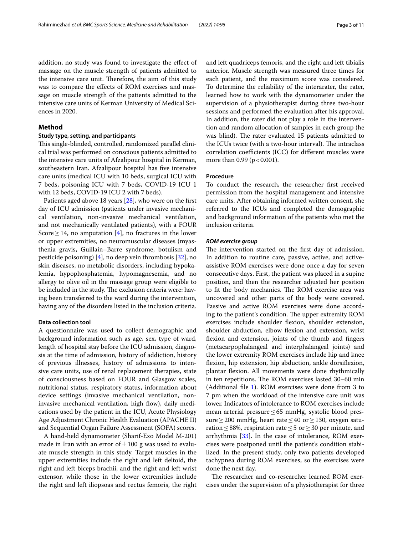addition, no study was found to investigate the efect of massage on the muscle strength of patients admitted to the intensive care unit. Therefore, the aim of this study was to compare the efects of ROM exercises and massage on muscle strength of the patients admitted to the intensive care units of Kerman University of Medical Sciences in 2020.

#### **Method**

## **Study type, setting, and participants**

This single-blinded, controlled, randomized parallel clinical trial was performed on conscious patients admitted to the intensive care units of Afzalipour hospital in Kerman, southeastern Iran. Afzalipour hospital has five intensive care units (medical ICU with 10 beds, surgical ICU with 7 beds, poisoning ICU with 7 beds, COVID-19 ICU 1 with 12 beds, COVID-19 ICU 2 with 7 beds).

Patients aged above 18 years [\[28](#page-10-17)], who were on the frst day of ICU admission (patients under invasive mechanical ventilation, non-invasive mechanical ventilation, and not mechanically ventilated patients), with a FOUR Score  $\geq$  14, no amputation [[4\]](#page-9-6), no fractures in the lower or upper extremities, no neuromuscular diseases (myasthenia gravis, Guillain–Barre syndrome, botulism and pesticide poisoning) [\[4](#page-9-6)], no deep vein thrombosis [[32](#page-10-21)], no skin diseases, no metabolic disorders, including hypokalemia, hypophosphatemia, hypomagnesemia, and no allergy to olive oil in the massage group were eligible to be included in the study. The exclusion criteria were: having been transferred to the ward during the intervention, having any of the disorders listed in the inclusion criteria.

## **Data collection tool**

A questionnaire was used to collect demographic and background information such as age, sex, type of ward, length of hospital stay before the ICU admission, diagnosis at the time of admission, history of addiction, history of previous illnesses, history of admissions to intensive care units, use of renal replacement therapies, state of consciousness based on FOUR and Glasgow scales, nutritional status, respiratory status, information about device settings (invasive mechanical ventilation, noninvasive mechanical ventilation, high flow), daily medications used by the patient in the ICU, Acute Physiology Age Adjustment Chronic Health Evaluation (APACHE II) and Sequential Organ Failure Assessment (SOFA) scores.

A hand-held dynamometer (Sharif-Exo Model M-201) made in Iran with an error of  $\pm 100$  g was used to evaluate muscle strength in this study. Target muscles in the upper extremities include the right and left deltoid, the right and left biceps brachii, and the right and left wrist extensor, while those in the lower extremities include the right and left iliopsoas and rectus femoris, the right and left quadriceps femoris, and the right and left tibialis anterior. Muscle strength was measured three times for each patient, and the maximum score was considered. To determine the reliability of the interarater, the rater, learned how to work with the dynamometer under the supervision of a physiotherapist during three two-hour sessions and performed the evaluation after his approval. In addition, the rater did not play a role in the intervention and random allocation of samples in each group (he was blind). The rater evaluated 15 patients admitted to the ICUs twice (with a two-hour interval). The intraclass correlation coefficients (ICC) for different muscles were more than  $0.99$  ( $p < 0.001$ ).

## **Procedure**

To conduct the research, the researcher frst received permission from the hospital management and intensive care units. After obtaining informed written consent, she referred to the ICUs and completed the demographic and background information of the patients who met the inclusion criteria.

#### *ROM exercise group*

The intervention started on the first day of admission. In addition to routine care, passive, active, and activeassistive ROM exercises were done once a day for seven consecutive days. First, the patient was placed in a supine position, and then the researcher adjusted her position to fit the body mechanics. The ROM exercise area was uncovered and other parts of the body were covered. Passive and active ROM exercises were done according to the patient's condition. The upper extremity ROM exercises include shoulder fexion, shoulder extension, shoulder abduction, elbow fexion and extension, wrist fexion and extension, joints of the thumb and fngers (metacarpophalangeal and interphalangeal joints) and the lower extremity ROM exercises include hip and knee flexion, hip extension, hip abduction, ankle dorsiflexion, plantar fexion. All movements were done rhythmically in ten repetitions. The ROM exercises lasted 30–60 min (Additional fle [1\)](#page-9-7). ROM exercises were done from 3 to 7 pm when the workload of the intensive care unit was lower. Indicators of intolerance to ROM exercises include mean arterial pressure≤65 mmHg, systolic blood pressure≥200 mmHg, heart rate≤40 or≥130, oxygen saturation ≤88%, respiration rate ≤5 or ≥30 per minute, and arrhythmia [[33](#page-10-22)]. In the case of intolerance, ROM exercises were postponed until the patient's condition stabilized. In the present study, only two patients developed tachypnea during ROM exercises, so the exercises were done the next day.

The researcher and co-researcher learned ROM exercises under the supervision of a physiotherapist for three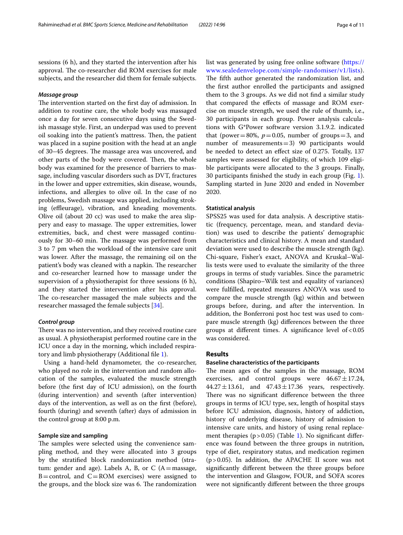sessions (6 h), and they started the intervention after his approval. The co-researcher did ROM exercises for male subjects, and the researcher did them for female subjects.

## *Massage group*

The intervention started on the first day of admission. In addition to routine care, the whole body was massaged once a day for seven consecutive days using the Swedish massage style. First, an underpad was used to prevent oil soaking into the patient's mattress. Then, the patient was placed in a supine position with the head at an angle of 30–45 degrees. The massage area was uncovered, and other parts of the body were covered. Then, the whole body was examined for the presence of barriers to massage, including vascular disorders such as DVT, fractures in the lower and upper extremities, skin disease, wounds, infections, and allergies to olive oil. In the case of no problems, Swedish massage was applied, including stroking (effleurage), vibration, and kneading movements. Olive oil (about 20 cc) was used to make the area slippery and easy to massage. The upper extremities, lower extremities, back, and chest were massaged continuously for 30–60 min. The massage was performed from 3 to 7 pm when the workload of the intensive care unit was lower. After the massage, the remaining oil on the patient's body was cleaned with a napkin. The researcher and co-researcher learned how to massage under the supervision of a physiotherapist for three sessions (6 h), and they started the intervention after his approval. The co-researcher massaged the male subjects and the researcher massaged the female subjects [[34\]](#page-10-23).

## *Control group*

There was no intervention, and they received routine care as usual. A physiotherapist performed routine care in the ICU once a day in the morning, which included respiratory and limb physiotherapy (Additional fle [1\)](#page-9-7).

Using a hand-held dynamometer, the co-researcher, who played no role in the intervention and random allocation of the samples, evaluated the muscle strength before (the frst day of ICU admission), on the fourth (during intervention) and seventh (after intervention) days of the intervention, as well as on the frst (before), fourth (during) and seventh (after) days of admission in the control group at 8:00 p.m.

## **Sample size and sampling**

The samples were selected using the convenience sampling method, and they were allocated into 3 groups by the stratifed block randomization method (stratum: gender and age). Labels A, B, or C  $(A = \text{massage},$  $B = control$ , and  $C = ROM$  exercises) were assigned to the groups, and the block size was 6. The randomization list was generated by using free online software [\(https://](https://www.sealedenvelope.com/simple-randomiser/v1/lists) [www.sealedenvelope.com/simple-randomiser/v1/lists\)](https://www.sealedenvelope.com/simple-randomiser/v1/lists). The fifth author generated the randomization list, and the frst author enrolled the participants and assigned them to the 3 groups. As we did not fnd a similar study that compared the efects of massage and ROM exercise on muscle strength, we used the rule of thumb, i.e., 30 participants in each group. Power analysis calculations with G\*Power software version 3.1.9.2. indicated that (power=80%,  $p=0.05$ , number of groups=3, and number of measurements=3) 90 participants would be needed to detect an efect size of 0.275. Totally, 137 samples were assessed for eligibility, of which 109 eligible participants were allocated to the 3 groups. Finally, 30 participants fnished the study in each group (Fig. [1](#page-4-0)). Sampling started in June 2020 and ended in November 2020.

### **Statistical analysis**

SPSS25 was used for data analysis. A descriptive statistic (frequency, percentage, mean, and standard deviation) was used to describe the patients' demographic characteristics and clinical history. A mean and standard deviation were used to describe the muscle strength (kg). Chi-square, Fisher's exact, ANOVA and Kruskal–Wallis tests were used to evaluate the similarity of the three groups in terms of study variables. Since the parametric conditions (Shapiro–Wilk test and equality of variances) were fulflled, repeated measures ANOVA was used to compare the muscle strength (kg) within and between groups before, during, and after the intervention. In addition, the Bonferroni post hoc test was used to compare muscle strength (kg) diferences between the three groups at different times. A significance level of  $< 0.05$ was considered.

#### **Results**

#### **Baseline characteristics of the participants**

The mean ages of the samples in the massage, ROM exercises, and control groups were  $46.67 \pm 17.24$ ,  $44.27 \pm 13.61$ , and  $47.43 \pm 17.36$  years, respectively. There was no significant difference between the three groups in terms of ICU type, sex, length of hospital stays before ICU admission, diagnosis, history of addiction, history of underlying disease, history of admission to intensive care units, and history of using renal replacement therapies ( $p > 0.05$ ) (Table [1](#page-5-0)). No significant difference was found between the three groups in nutrition, type of diet, respiratory status, and medication regimen  $(p>0.05)$ . In addition, the APACHE II score was not signifcantly diferent between the three groups before the intervention and Glasgow, FOUR, and SOFA scores were not signifcantly diferent between the three groups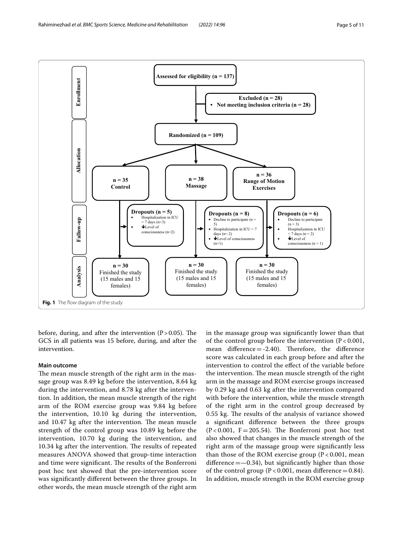

<span id="page-4-0"></span>before, during, and after the intervention  $(P > 0.05)$ . The GCS in all patients was 15 before, during, and after the intervention.

## **Main outcome**

The mean muscle strength of the right arm in the massage group was 8.49 kg before the intervention, 8.64 kg during the intervention, and 8.78 kg after the intervention. In addition, the mean muscle strength of the right arm of the ROM exercise group was 9.84 kg before the intervention, 10.10 kg during the intervention, and 10.47 kg after the intervention. The mean muscle strength of the control group was 10.89 kg before the intervention, 10.70 kg during the intervention, and 10.34 kg after the intervention. The results of repeated measures ANOVA showed that group-time interaction and time were significant. The results of the Bonferroni post hoc test showed that the pre-intervention score was signifcantly diferent between the three groups. In other words, the mean muscle strength of the right arm in the massage group was signifcantly lower than that of the control group before the intervention  $(P < 0.001$ , mean difference  $= -2.40$ ). Therefore, the difference score was calculated in each group before and after the intervention to control the efect of the variable before the intervention. The mean muscle strength of the right arm in the massage and ROM exercise groups increased by 0.29 kg and 0.63 kg after the intervention compared with before the intervention, while the muscle strength of the right arm in the control group decreased by 0.55 kg. The results of the analysis of variance showed a signifcant diference between the three groups  $(P<0.001, F=205.54)$ . The Bonferroni post hoc test also showed that changes in the muscle strength of the right arm of the massage group were signifcantly less than those of the ROM exercise group ( $P < 0.001$ , mean difference  $=$   $-0.34$ ), but significantly higher than those of the control group ( $P < 0.001$ , mean difference = 0.84). In addition, muscle strength in the ROM exercise group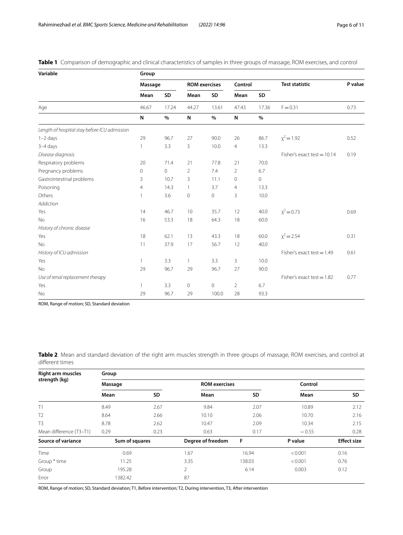| Variable                                     | Group          |                |                      |           |                |           |                               |         |
|----------------------------------------------|----------------|----------------|----------------------|-----------|----------------|-----------|-------------------------------|---------|
|                                              | Massage        |                | <b>ROM</b> exercises |           | Control        |           | <b>Test statistic</b>         | P value |
|                                              | Mean           | SD             | Mean                 | <b>SD</b> | Mean           | <b>SD</b> |                               |         |
| Age                                          | 46.67          | 17.24          | 44.27                | 13.61     | 47.43          | 17.36     | $F = 0.31$                    | 0.73    |
|                                              | N              | $\%$           | ${\sf N}$            | $\%$      | N              | %         |                               |         |
| Length of hospital stay before ICU admission |                |                |                      |           |                |           |                               |         |
| $1 - 2$ days                                 | 29             | 96.7           | 27                   | 90.0      | 26             | 86.7      | $x^2 = 1.92$                  | 0.52    |
| $3-4$ days                                   | $\mathbf{1}$   | 3.3            | 3                    | 10.0      | $\overline{4}$ | 13.3      |                               |         |
| Disease diagnosis                            |                |                |                      |           |                |           | Fisher's exact test = $10.14$ | 0.19    |
| Respiratory problems                         | 20             | 71.4           | 21                   | 77.8      | 21             | 70.0      |                               |         |
| Pregnancy problems                           | 0              | $\overline{0}$ | $\overline{2}$       | 7.4       | 2              | 6.7       |                               |         |
| Gastrointestinal problems                    | 3              | 10.7           | 3                    | 11.1      | $\circ$        | $\circ$   |                               |         |
| Poisoning                                    | $\overline{4}$ | 14.3           | $\overline{1}$       | 3.7       | 4              | 13.3      |                               |         |
| Others                                       | $\mathbf{1}$   | 3.6            | $\mathbf 0$          | 0         | 3              | 10.0      |                               |         |
| <b>Addiction</b>                             |                |                |                      |           |                |           |                               |         |
| Yes                                          | 14             | 46.7           | 10                   | 35.7      | 12             | 40.0      | $x^2 = 0.73$                  | 0.69    |
| <b>No</b>                                    | 16             | 53.3           | 18                   | 64.3      | 18             | 60.0      |                               |         |
| History of chronic disease                   |                |                |                      |           |                |           |                               |         |
| Yes                                          | 18             | 62.1           | 13                   | 43.3      | 18             | 60.0      | $x^2 = 2.54$                  | 0.31    |
| <b>No</b>                                    | 11             | 37.9           | 17                   | 56.7      | 12             | 40.0      |                               |         |
| History of ICU admission                     |                |                |                      |           |                |           | Fisher's exact test = $1.49$  | 0.61    |
| Yes                                          | 1              | 3.3            | $\mathbf{1}$         | 3.3       | $\overline{3}$ | 10.0      |                               |         |
| <b>No</b>                                    | 29             | 96.7           | 29                   | 96.7      | 27             | 90.0      |                               |         |
| Use of renal replacement therapy             |                |                |                      |           |                |           | Fisher's exact test = $1.82$  | 0.77    |
| Yes                                          | $\mathbf{1}$   | 3.3            | $\mathbf 0$          | 0         | 2              | 6.7       |                               |         |
| No                                           | 29             | 96.7           | 29                   | 100.0     | 28             | 93.3      |                               |         |

<span id="page-5-0"></span>**Table 1** Comparison of demographic and clinical characteristics of samples in three groups of massage, ROM exercises, and control

ROM, Range of motion; SD, Standard deviation

<span id="page-5-1"></span>**Table 2** Mean and standard deviation of the right arm muscles strength in three groups of massage, ROM exercises, and control at diferent times

| <b>Right arm muscles</b><br>strength (kg) | Group          |           |                      |           |         |                    |  |  |  |
|-------------------------------------------|----------------|-----------|----------------------|-----------|---------|--------------------|--|--|--|
|                                           | Massage        |           | <b>ROM</b> exercises |           | Control |                    |  |  |  |
|                                           | Mean           | <b>SD</b> | Mean                 | <b>SD</b> | Mean    | <b>SD</b>          |  |  |  |
| T1                                        | 8.49           | 2.67      | 9.84                 | 2.07      | 10.89   | 2.12               |  |  |  |
| T <sub>2</sub>                            | 8.64           | 2.66      | 10.10                | 2.06      | 10.70   | 2.16               |  |  |  |
| T <sub>3</sub>                            | 8.78           | 2.62      | 10.47                | 2.09      | 10.34   | 2.15               |  |  |  |
| Mean difference (T3-T1)                   | 0.29           | 0.23      | 0.63                 | 0.17      | $-0.55$ | 0.28               |  |  |  |
| Source of variance                        | Sum of squares |           | Degree of freedom    | F         | P value | <b>Effect size</b> |  |  |  |
| Time                                      | 0.69           |           | 1.67                 | 16.94     | < 0.001 | 0.16               |  |  |  |
| Group * time                              | 11.25          |           | 3.35                 | 138.03    | < 0.001 | 0.76               |  |  |  |
| Group                                     | 195.28         |           | 2                    | 6.14      | 0.003   | 0.12               |  |  |  |
| Error                                     | 1382.42        |           | 87                   |           |         |                    |  |  |  |

ROM, Range of motion; SD, Standard deviation; T1, Before intervention; T2, During intervention, T3, After intervention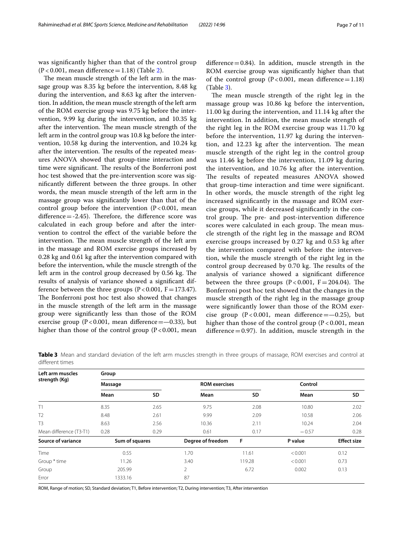The mean muscle strength of the left arm in the massage group was 8.35 kg before the intervention, 8.48 kg during the intervention, and 8.63 kg after the intervention. In addition, the mean muscle strength of the left arm of the ROM exercise group was 9.75 kg before the intervention, 9.99 kg during the intervention, and 10.35 kg after the intervention. The mean muscle strength of the left arm in the control group was 10.8 kg before the intervention, 10.58 kg during the intervention, and 10.24 kg after the intervention. The results of the repeated measures ANOVA showed that group-time interaction and time were significant. The results of the Bonferroni post hoc test showed that the pre-intervention score was signifcantly diferent between the three groups. In other words, the mean muscle strength of the left arm in the massage group was signifcantly lower than that of the control group before the intervention  $(P<0.001$ , mean difference  $= -2.45$ ). Therefore, the difference score was calculated in each group before and after the intervention to control the efect of the variable before the intervention. The mean muscle strength of the left arm in the massage and ROM exercise groups increased by 0.28 kg and 0.61 kg after the intervention compared with before the intervention, while the muscle strength of the left arm in the control group decreased by  $0.56$  kg. The results of analysis of variance showed a signifcant difference between the three groups  $(P<0.001, F=173.47)$ . The Bonferroni post hoc test also showed that changes in the muscle strength of the left arm in the massage group were signifcantly less than those of the ROM exercise group ( $P < 0.001$ , mean difference = -0.33), but higher than those of the control group  $(P<0.001$ , mean difference  $= 0.84$ ). In addition, muscle strength in the ROM exercise group was signifcantly higher than that of the control group ( $P < 0.001$ , mean difference=1.18) (Table [3\)](#page-6-0).

The mean muscle strength of the right leg in the massage group was 10.86 kg before the intervention, 11.00 kg during the intervention, and 11.14 kg after the intervention. In addition, the mean muscle strength of the right leg in the ROM exercise group was 11.70 kg before the intervention, 11.97 kg during the intervention, and 12.23 kg after the intervention. The mean muscle strength of the right leg in the control group was 11.46 kg before the intervention, 11.09 kg during the intervention, and 10.76 kg after the intervention. The results of repeated measures ANOVA showed that group-time interaction and time were signifcant. In other words, the muscle strength of the right leg increased signifcantly in the massage and ROM exercise groups, while it decreased signifcantly in the control group. The pre- and post-intervention difference scores were calculated in each group. The mean muscle strength of the right leg in the massage and ROM exercise groups increased by 0.27 kg and 0.53 kg after the intervention compared with before the intervention, while the muscle strength of the right leg in the control group decreased by 0.70 kg. The results of the analysis of variance showed a signifcant diference between the three groups  $(P < 0.001, F = 204.04)$ . The Bonferroni post hoc test showed that the changes in the muscle strength of the right leg in the massage group were signifcantly lower than those of the ROM exercise group ( $P < 0.001$ , mean difference  $=$   $-0.25$ ), but higher than those of the control group ( $P < 0.001$ , mean difference  $=$  0.97). In addition, muscle strength in the

**Left arm muscles strength (Kg) Group Massage Control ROM exercises Control Mean SD Mean SD Mean SD** T1 8.35 2.65 9.75 2.08 10.80 2.02 T2 8.48 2.61 9.99 2.09 10.58 2.06 T3 8.63 2.56 10.36 2.11 10.24 2.04 Mean difference (T3-T1) 0.28 0.29 0.61 0.17 − 0.57 0.28 **Source of variance Sum of squares Degree of freedom F P value Efect size** Time 6.55 0.55 1.70 11.61  $< 0.001$  0.12 Group \* time 11.26 11.26 3.40 119.28 <0.001 0.73 Group 205.99 2 6.72 0.002 0.13 Error 1333.16 87

<span id="page-6-0"></span>**Table 3** Mean and standard deviation of the left arm muscles strength in three groups of massage, ROM exercises and control at diferent times

ROM, Range of motion; SD, Standard deviation; T1, Before intervention; T2, During intervention; T3, After intervention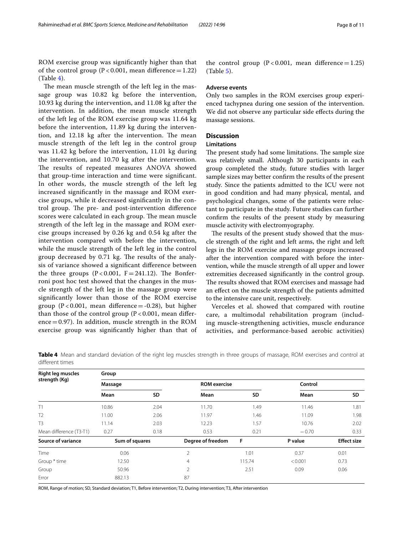ROM exercise group was signifcantly higher than that of the control group ( $P < 0.001$ , mean difference = 1.22) (Table [4\)](#page-7-0).

The mean muscle strength of the left leg in the massage group was 10.82 kg before the intervention, 10.93 kg during the intervention, and 11.08 kg after the intervention. In addition, the mean muscle strength of the left leg of the ROM exercise group was 11.64 kg before the intervention, 11.89 kg during the intervention, and 12.18 kg after the intervention. The mean muscle strength of the left leg in the control group was 11.42 kg before the intervention, 11.01 kg during the intervention, and 10.70 kg after the intervention. The results of repeated measures ANOVA showed that group-time interaction and time were signifcant. In other words, the muscle strength of the left leg increased signifcantly in the massage and ROM exercise groups, while it decreased signifcantly in the control group. The pre- and post-intervention difference scores were calculated in each group. The mean muscle strength of the left leg in the massage and ROM exercise groups increased by 0.26 kg and 0.54 kg after the intervention compared with before the intervention, while the muscle strength of the left leg in the control group decreased by 0.71 kg. The results of the analysis of variance showed a signifcant diference between the three groups  $(P < 0.001, F = 241.12)$ . The Bonferroni post hoc test showed that the changes in the muscle strength of the left leg in the massage group were signifcantly lower than those of the ROM exercise group ( $P < 0.001$ , mean difference = -0.28), but higher than those of the control group ( $P < 0.001$ , mean difference  $=$  0.97). In addition, muscle strength in the ROM exercise group was signifcantly higher than that of

the control group  $(P < 0.001$ , mean difference = 1.25) (Table [5\)](#page-8-0).

## **Adverse events**

Only two samples in the ROM exercises group experienced tachypnea during one session of the intervention. We did not observe any particular side effects during the massage sessions.

## **Discussion**

## **Limitations**

The present study had some limitations. The sample size was relatively small. Although 30 participants in each group completed the study, future studies with larger sample sizes may better confrm the results of the present study. Since the patients admitted to the ICU were not in good condition and had many physical, mental, and psychological changes, some of the patients were reluctant to participate in the study. Future studies can further confrm the results of the present study by measuring muscle activity with electromyography.

The results of the present study showed that the muscle strength of the right and left arms, the right and left legs in the ROM exercise and massage groups increased after the intervention compared with before the intervention, while the muscle strength of all upper and lower extremities decreased signifcantly in the control group. The results showed that ROM exercises and massage had an efect on the muscle strength of the patients admitted to the intensive care unit, respectively.

Verceles et al. showed that compared with routine care, a multimodal rehabilitation program (including muscle-strengthening activities, muscle endurance activities, and performance-based aerobic activities)

| <b>Right leg muscles</b><br>strength (Kg) | Group          |      |                     |        |         |                    |  |  |  |
|-------------------------------------------|----------------|------|---------------------|--------|---------|--------------------|--|--|--|
|                                           | Massage        |      | <b>ROM</b> exercise |        | Control |                    |  |  |  |
|                                           | Mean           | SD   | Mean                | SD     | Mean    | <b>SD</b>          |  |  |  |
| T1                                        | 10.86          | 2.04 | 11.70               | 1.49   | 11.46   | 1.81               |  |  |  |
| T <sub>2</sub>                            | 11.00          | 2.06 | 11.97               | 1.46   | 11.09   | 1.98               |  |  |  |
| T <sub>3</sub>                            | 11.14          | 2.03 | 12.23               | 1.57   | 10.76   | 2.02               |  |  |  |
| Mean difference (T3-T1)                   | 0.27           | 0.18 | 0.53                | 0.21   | $-0.70$ | 0.33               |  |  |  |
| Source of variance                        | Sum of squares |      | Degree of freedom   | F      | P value | <b>Effect size</b> |  |  |  |
| Time                                      | 0.06           |      | $\overline{2}$      | 1.01   | 0.37    | 0.01               |  |  |  |
| Group * time                              | 12.50          |      | $\overline{4}$      | 115.74 | < 0.001 | 0.73               |  |  |  |
| Group                                     | 50.96          |      | 2                   | 2.51   | 0.09    | 0.06               |  |  |  |
| Error                                     | 882.13         |      | 87                  |        |         |                    |  |  |  |

<span id="page-7-0"></span>**Table 4** Mean and standard deviation of the right leg muscles strength in three groups of massage, ROM exercises and control at diferent times

ROM, Range of motion; SD, Standard deviation; T1, Before intervention; T2, During intervention; T3, After intervention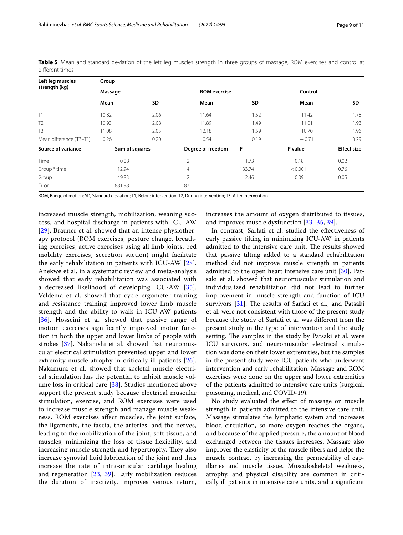| Left leg muscles<br>strength (kg) | Group          |           |                     |        |         |                    |  |  |  |
|-----------------------------------|----------------|-----------|---------------------|--------|---------|--------------------|--|--|--|
|                                   | Massage        |           | <b>ROM</b> exercise |        | Control |                    |  |  |  |
|                                   | Mean           | <b>SD</b> | Mean                | SD     | Mean    | <b>SD</b>          |  |  |  |
| T1                                | 10.82          | 2.06      | 11.64               | 1.52   | 11.42   | 1.78               |  |  |  |
| T <sub>2</sub>                    | 10.93          | 2.08      | 11.89               | 1.49   | 11.01   | 1.93               |  |  |  |
| T <sub>3</sub>                    | 11.08          | 2.05      | 12.18               | 1.59   | 10.70   | 1.96               |  |  |  |
| Mean difference (T3-T1)           | 0.26           | 0.20      | 0.54                | 0.19   | $-0.71$ | 0.29               |  |  |  |
| Source of variance                | Sum of squares |           | Degree of freedom   | F      | P value | <b>Effect size</b> |  |  |  |
| Time                              | 0.08           |           | $\overline{2}$      | 1.73   | 0.18    | 0.02               |  |  |  |
| Group * time                      | 12.94          |           | $\overline{4}$      | 133.74 | < 0.001 | 0.76               |  |  |  |
| Group                             | 49.83          |           | $\overline{2}$      | 2.46   | 0.09    | 0.05               |  |  |  |
| Error                             | 881.98         |           | 87                  |        |         |                    |  |  |  |

<span id="page-8-0"></span>**Table 5** Mean and standard deviation of the left leg muscles strength in three groups of massage, ROM exercises and control at diferent times

ROM, Range of motion; SD, Standard deviation; T1, Before intervention; T2, During intervention; T3, After intervention

increased muscle strength, mobilization, weaning success, and hospital discharge in patients with ICU-AW [[29](#page-10-18)]. Brauner et al. showed that an intense physiotherapy protocol (ROM exercises, posture change, breathing exercises, active exercises using all limb joints, bed mobility exercises, secretion suction) might facilitate the early rehabilitation in patients with ICU-AW [[28\]](#page-10-17). Anekwe et al. in a systematic review and meta-analysis showed that early rehabilitation was associated with a decreased likelihood of developing ICU-AW [[35\]](#page-10-24). Veldema et al. showed that cycle ergometer training and resistance training improved lower limb muscle strength and the ability to walk in ICU-AW patients [[36](#page-10-25)]. Hosseini et al. showed that passive range of motion exercises signifcantly improved motor function in both the upper and lower limbs of people with strokes [\[37](#page-10-26)]. Nakanishi et al. showed that neuromuscular electrical stimulation prevented upper and lower extremity muscle atrophy in critically ill patients [[26](#page-10-15)]. Nakamura et al. showed that skeletal muscle electrical stimulation has the potential to inhibit muscle volume loss in critical care [[38](#page-10-27)]. Studies mentioned above support the present study because electrical muscular stimulation, exercise, and ROM exercises were used to increase muscle strength and manage muscle weakness. ROM exercises afect muscles, the joint surface, the ligaments, the fascia, the arteries, and the nerves, leading to the mobilization of the joint, soft tissue, and muscles, minimizing the loss of tissue fexibility, and increasing muscle strength and hypertrophy. They also increase synovial fuid lubrication of the joint and thus increase the rate of intra-articular cartilage healing and regeneration  $[23, 39]$  $[23, 39]$  $[23, 39]$  $[23, 39]$ . Early mobilization reduces the duration of inactivity, improves venous return, increases the amount of oxygen distributed to tissues, and improves muscle dysfunction [[33–](#page-10-22)[35](#page-10-24), [39](#page-10-28)].

In contrast, Sarfati et al. studied the efectiveness of early passive tilting in minimizing ICU-AW in patients admitted to the intensive care unit. The results showed that passive tilting added to a standard rehabilitation method did not improve muscle strength in patients admitted to the open heart intensive care unit [[30\]](#page-10-19). Patsaki et al. showed that neuromuscular stimulation and individualized rehabilitation did not lead to further improvement in muscle strength and function of ICU survivors  $[31]$  $[31]$ . The results of Sarfati et al., and Patsaki et al. were not consistent with those of the present study because the study of Sarfati et al. was diferent from the present study in the type of intervention and the study setting. The samples in the study by Patsaki et al. were ICU survivors, and neuromuscular electrical stimulation was done on their lower extremities, but the samples in the present study were ICU patients who underwent intervention and early rehabilitation. Massage and ROM exercises were done on the upper and lower extremities of the patients admitted to intensive care units (surgical, poisoning, medical, and COVID-19).

No study evaluated the efect of massage on muscle strength in patients admitted to the intensive care unit. Massage stimulates the lymphatic system and increases blood circulation, so more oxygen reaches the organs, and because of the applied pressure, the amount of blood exchanged between the tissues increases. Massage also improves the elasticity of the muscle fbers and helps the muscle contract by increasing the permeability of capillaries and muscle tissue. Musculoskeletal weakness, atrophy, and physical disability are common in critically ill patients in intensive care units, and a signifcant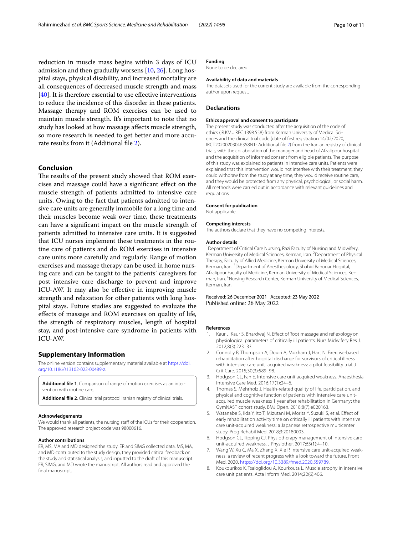reduction in muscle mass begins within 3 days of ICU admission and then gradually worsens [\[10](#page-10-1), [26\]](#page-10-15). Long hospital stays, physical disability, and increased mortality are all consequences of decreased muscle strength and mass [[40\]](#page-10-29). It is therefore essential to use effective interventions to reduce the incidence of this disorder in these patients. Massage therapy and ROM exercises can be used to maintain muscle strength. It's important to note that no study has looked at how massage afects muscle strength, so more research is needed to get better and more accu-rate results from it (Additional file [2](#page-9-8)).

## **Conclusion**

The results of the present study showed that ROM exercises and massage could have a signifcant efect on the muscle strength of patients admitted to intensive care units. Owing to the fact that patients admitted to intensive care units are generally immobile for a long time and their muscles become weak over time, these treatments can have a signifcant impact on the muscle strength of patients admitted to intensive care units. It is suggested that ICU nurses implement these treatments in the routine care of patients and do ROM exercises in intensive care units more carefully and regularly. Range of motion exercises and massage therapy can be used in home nursing care and can be taught to the patients' caregivers for post intensive care discharge to prevent and improve ICU-AW. It may also be efective in improving muscle strength and relaxation for other patients with long hospital stays. Future studies are suggested to evaluate the efects of massage and ROM exercises on quality of life, the strength of respiratory muscles, length of hospital stay, and post-intensive care syndrome in patients with ICU-AW.

#### **Supplementary Information**

The online version contains supplementary material available at [https://doi.](https://doi.org/10.1186/s13102-022-00489-z) [org/10.1186/s13102-022-00489-z.](https://doi.org/10.1186/s13102-022-00489-z)

<span id="page-9-8"></span><span id="page-9-7"></span>**Additional fle 1**. Comparison of range of motion exercises as an intervention with routine care.

**Additional fle 2**. Clinical trial protocol Iranian registry of clinical trials.

#### **Acknowledgements**

We would thank all patients, the nursing staff of the ICUs for their cooperation. The approved research project code was 98000616.

#### **Author contributions**

ER, MS, MA and MD designed the study. ER and SIMG collected data. MS, MA, and MD contributed to the study design, they provided critical feedback on the study and statistical analysis, and inputted to the draft of this manuscript. ER, SIMG, and MD wrote the manuscript. All authors read and approved the final manuscript.

## **Funding**

None to be declared.

#### **Availability of data and materials**

The datasets used for the current study are available from the corresponding author upon request.

#### **Declarations**

#### **Ethics approval and consent to participate**

The present study was conducted after the acquisition of the code of ethics (IR.KMU.REC.1398.558) from Kerman University of Medical Sciences and the clinical trial code (date of frst registration 14/02/2020, IRCT20200203046358N1- Additional fle [2](#page-9-8)) from the Iranian registry of clinical trials, with the collaboration of the manager and head of Afzalipour hospital and the acquisition of informed consent from eligible patients. The purpose of this study was explained to patients in intensive care units. Patients were explained that this intervention would not interfere with their treatment, they could withdraw from the study at any time, they would receive routine care, and they would be protected from any physical, psychological, or social harm. All methods were carried out in accordance with relevant guidelines and regulations.

## **Consent for publication**

Not applicable.

#### **Competing interests**

The authors declare that they have no competing interests.

#### **Author details**

<sup>1</sup> Department of Critical Care Nursing, Razi Faculty of Nursing and Midwifery, Kerman University of Medical Sciences, Kerman, Iran. <sup>2</sup> Department of Physical Therapy, Faculty of Allied Medicine, Kerman University of Medical Sciences, Kerman, Iran. <sup>3</sup> Department of Anesthesiology, Shahid Bahonar Hospital, Afzalipour Faculty of Medicine, Kerman University of Medical Sciences, Kerman, Iran. 4 Nursing Research Center, Kerman University of Medical Sciences, Kerman, Iran.

#### Received: 26 December 2021 Accepted: 23 May 2022 Published online: 26 May 2022

#### **References**

- <span id="page-9-0"></span>Kaur J, Kaur S, Bhardwaj N. Effect of 'foot massage and reflexology'on physiological parameters of critically ill patients. Nurs Midwifery Res J. 2012;8(3):223–33.
- <span id="page-9-1"></span>2. Connolly B, Thompson A, Douiri A, Moxham J, Hart N. Exercise-based rehabilitation after hospital discharge for survivors of critical illness with intensive care unit–acquired weakness: a pilot feasibility trial. J Crit Care. 2015;30(3):589–98.
- 3. Hodgson CL, Fan E. Intensive care unit acquired weakness. Anaesthesia Intensive Care Med. 2016;17(1):24–6.
- <span id="page-9-6"></span>4. Thomas S, Mehrholz J. Health-related quality of life, participation, and physical and cognitive function of patients with intensive care unitacquired muscle weakness 1 year after rehabilitation in Germany: the GymNAST cohort study. BMJ Open. 2018;8(7):e020163.
- <span id="page-9-2"></span>5. Watanabe S, Iida Y, Ito T, Mizutani M, Morita Y, Suzuki S, et al. Efect of early rehabilitation activity time on critically ill patients with intensive care unit-acquired weakness: a Japanese retrospective multicenter study. Prog Rehabil Med. 2018;3:20180003.
- <span id="page-9-3"></span>6. Hodgson CL, Tipping CJ. Physiotherapy management of intensive care unit-acquired weakness. J Physiother. 2017;63(1):4–10.
- <span id="page-9-4"></span>7. Wang W, Xu C, Ma X, Zhang X, Xie P. Intensive care unit-acquired weakness: a review of recent progress with a look toward the future. Front Med. 2020. [https://doi.org/10.3389/fmed.2020.559789.](https://doi.org/10.3389/fmed.2020.559789)
- <span id="page-9-5"></span>8. Koukourikos K, Tsaloglidou A, Kourkouta L. Muscle atrophy in intensive care unit patients. Acta Inform Med. 2014;22(6):406.